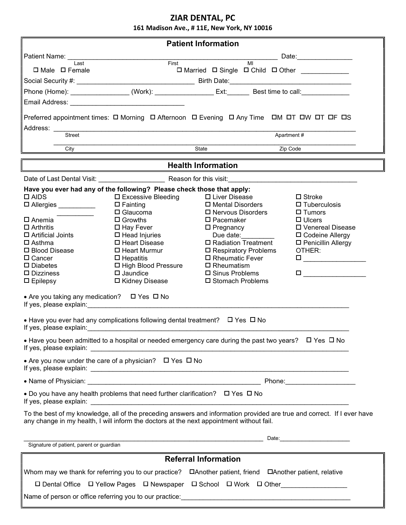## ZIAR DENTAL, PC 161 Madison Ave., # 11E, New York, NY 10016

| <b>Patient Information</b>                                                                                                                                                                                                                                                                                                                                                                                                                                                                                                                                                                                                                                                                                                     |                                                                                                                                                                                                                                                                   |                                                                                                                                                                                                                                                                                                                                                                                              |                                                                                                                                                                  |  |  |  |  |
|--------------------------------------------------------------------------------------------------------------------------------------------------------------------------------------------------------------------------------------------------------------------------------------------------------------------------------------------------------------------------------------------------------------------------------------------------------------------------------------------------------------------------------------------------------------------------------------------------------------------------------------------------------------------------------------------------------------------------------|-------------------------------------------------------------------------------------------------------------------------------------------------------------------------------------------------------------------------------------------------------------------|----------------------------------------------------------------------------------------------------------------------------------------------------------------------------------------------------------------------------------------------------------------------------------------------------------------------------------------------------------------------------------------------|------------------------------------------------------------------------------------------------------------------------------------------------------------------|--|--|--|--|
|                                                                                                                                                                                                                                                                                                                                                                                                                                                                                                                                                                                                                                                                                                                                |                                                                                                                                                                                                                                                                   |                                                                                                                                                                                                                                                                                                                                                                                              |                                                                                                                                                                  |  |  |  |  |
| I ast<br>$\Box$ Male $\Box$ Female                                                                                                                                                                                                                                                                                                                                                                                                                                                                                                                                                                                                                                                                                             | M <sub>l</sub><br>First<br>$\Box$ Married $\Box$ Single $\Box$ Child $\Box$ Other                                                                                                                                                                                 |                                                                                                                                                                                                                                                                                                                                                                                              |                                                                                                                                                                  |  |  |  |  |
|                                                                                                                                                                                                                                                                                                                                                                                                                                                                                                                                                                                                                                                                                                                                |                                                                                                                                                                                                                                                                   |                                                                                                                                                                                                                                                                                                                                                                                              |                                                                                                                                                                  |  |  |  |  |
|                                                                                                                                                                                                                                                                                                                                                                                                                                                                                                                                                                                                                                                                                                                                |                                                                                                                                                                                                                                                                   | Phone (Home): _____________________(Work): ___________________Ext:__________Best time to call: _______________                                                                                                                                                                                                                                                                               |                                                                                                                                                                  |  |  |  |  |
|                                                                                                                                                                                                                                                                                                                                                                                                                                                                                                                                                                                                                                                                                                                                |                                                                                                                                                                                                                                                                   |                                                                                                                                                                                                                                                                                                                                                                                              |                                                                                                                                                                  |  |  |  |  |
| Preferred appointment times: O Morning O Afternoon O Evening O Any Time OM OT OW OT OF OS                                                                                                                                                                                                                                                                                                                                                                                                                                                                                                                                                                                                                                      |                                                                                                                                                                                                                                                                   |                                                                                                                                                                                                                                                                                                                                                                                              |                                                                                                                                                                  |  |  |  |  |
| <b>Street</b>                                                                                                                                                                                                                                                                                                                                                                                                                                                                                                                                                                                                                                                                                                                  | Apartment#                                                                                                                                                                                                                                                        |                                                                                                                                                                                                                                                                                                                                                                                              |                                                                                                                                                                  |  |  |  |  |
| City                                                                                                                                                                                                                                                                                                                                                                                                                                                                                                                                                                                                                                                                                                                           |                                                                                                                                                                                                                                                                   | State<br>Zip Code                                                                                                                                                                                                                                                                                                                                                                            |                                                                                                                                                                  |  |  |  |  |
| <b>Health Information</b>                                                                                                                                                                                                                                                                                                                                                                                                                                                                                                                                                                                                                                                                                                      |                                                                                                                                                                                                                                                                   |                                                                                                                                                                                                                                                                                                                                                                                              |                                                                                                                                                                  |  |  |  |  |
|                                                                                                                                                                                                                                                                                                                                                                                                                                                                                                                                                                                                                                                                                                                                |                                                                                                                                                                                                                                                                   |                                                                                                                                                                                                                                                                                                                                                                                              |                                                                                                                                                                  |  |  |  |  |
| Have you ever had any of the following? Please check those that apply:<br>$\square$ AIDS<br>$\square$ Allergies<br>$\square$ Anemia<br>$\square$ Arthritis<br>$\Box$ Artificial Joints<br>$\square$ Asthma<br>□ Blood Disease<br>$\Box$ Cancer<br>$\square$ Diabetes<br>$\square$ Dizziness<br>$\Box$ Epilepsy<br>• Are you taking any medication? $\Box$ Yes $\Box$ No<br>If yes, please explain: The state of the state of the state of the state of the state of the state of the state of the state of the state of the state of the state of the state of the state of the state of the state of the<br>• Have you ever had any complications following dental treatment? $\Box$ Yes $\Box$ No<br>If yes, please explain: | $\square$ Excessive Bleeding<br>$\Box$ Fainting<br>$\Box$ Glaucoma<br>$\Box$ Growths<br>$\Box$ Hay Fever<br>$\Box$ Head Injuries<br>□ Heart Disease<br>$\Box$ Heart Murmur<br>$\Box$ Hepatitis<br>□ High Blood Pressure<br>$\square$ Jaundice<br>□ Kidney Disease | □ Liver Disease<br>□ Mental Disorders<br>$\square$ Nervous Disorders<br>$\square$ Pacemaker<br>$\square$ Pregnancy<br>Due date:<br>□ Radiation Treatment<br>□ Respiratory Problems<br>□ Rheumatic Fever<br>$\square$ Rheumatism<br>□ Sinus Problems<br>□ Stomach Problems<br>• Have you been admitted to a hospital or needed emergency care during the past two years? $\Box$ Yes $\Box$ No | $\Box$ Stroke<br>$\square$ Tuberculosis<br>$\Box$ Tumors<br>$\Box$ Ulcers<br>□ Venereal Disease<br>□ Codeine Allergy<br>□ Penicillin Allergy<br>OTHER:<br>$\Box$ |  |  |  |  |
| • Are you now under the care of a physician? $\Box$ Yes $\Box$ No                                                                                                                                                                                                                                                                                                                                                                                                                                                                                                                                                                                                                                                              |                                                                                                                                                                                                                                                                   |                                                                                                                                                                                                                                                                                                                                                                                              |                                                                                                                                                                  |  |  |  |  |
|                                                                                                                                                                                                                                                                                                                                                                                                                                                                                                                                                                                                                                                                                                                                |                                                                                                                                                                                                                                                                   |                                                                                                                                                                                                                                                                                                                                                                                              |                                                                                                                                                                  |  |  |  |  |
| • Do you have any health problems that need further clarification? $\Box$ Yes $\Box$ No                                                                                                                                                                                                                                                                                                                                                                                                                                                                                                                                                                                                                                        |                                                                                                                                                                                                                                                                   |                                                                                                                                                                                                                                                                                                                                                                                              |                                                                                                                                                                  |  |  |  |  |
| To the best of my knowledge, all of the preceding answers and information provided are true and correct. If I ever have<br>any change in my health, I will inform the doctors at the next appointment without fail.                                                                                                                                                                                                                                                                                                                                                                                                                                                                                                            |                                                                                                                                                                                                                                                                   |                                                                                                                                                                                                                                                                                                                                                                                              |                                                                                                                                                                  |  |  |  |  |
|                                                                                                                                                                                                                                                                                                                                                                                                                                                                                                                                                                                                                                                                                                                                |                                                                                                                                                                                                                                                                   | Signature of patient, parent or guardian District of the Signature of patient, parent or guardian                                                                                                                                                                                                                                                                                            |                                                                                                                                                                  |  |  |  |  |
| <b>Referral Information</b>                                                                                                                                                                                                                                                                                                                                                                                                                                                                                                                                                                                                                                                                                                    |                                                                                                                                                                                                                                                                   |                                                                                                                                                                                                                                                                                                                                                                                              |                                                                                                                                                                  |  |  |  |  |
| Whom may we thank for referring you to our practice?<br>□Another patient, friend □Another patient, relative                                                                                                                                                                                                                                                                                                                                                                                                                                                                                                                                                                                                                    |                                                                                                                                                                                                                                                                   |                                                                                                                                                                                                                                                                                                                                                                                              |                                                                                                                                                                  |  |  |  |  |
| □ Dental Office □ Yellow Pages □ Newspaper                                                                                                                                                                                                                                                                                                                                                                                                                                                                                                                                                                                                                                                                                     |                                                                                                                                                                                                                                                                   |                                                                                                                                                                                                                                                                                                                                                                                              |                                                                                                                                                                  |  |  |  |  |
|                                                                                                                                                                                                                                                                                                                                                                                                                                                                                                                                                                                                                                                                                                                                |                                                                                                                                                                                                                                                                   |                                                                                                                                                                                                                                                                                                                                                                                              |                                                                                                                                                                  |  |  |  |  |

Name of person or office referring you to our practice: